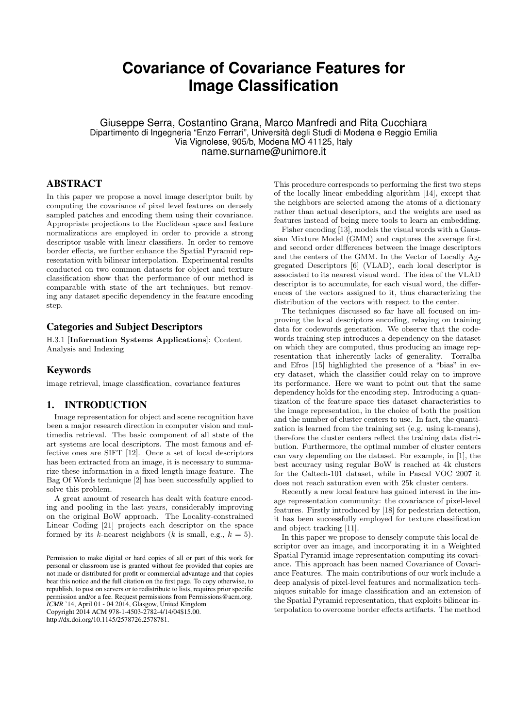# **Covariance of Covariance Features for Image Classification**

Giuseppe Serra, Costantino Grana, Marco Manfredi and Rita Cucchiara Dipartimento di Ingegneria "Enzo Ferrari", Università degli Studi di Modena e Reggio Emilia Via Vignolese, 905/b, Modena MO 41125, Italy name.surname@unimore.it

# ABSTRACT

In this paper we propose a novel image descriptor built by computing the covariance of pixel level features on densely sampled patches and encoding them using their covariance. Appropriate projections to the Euclidean space and feature normalizations are employed in order to provide a strong descriptor usable with linear classifiers. In order to remove border effects, we further enhance the Spatial Pyramid representation with bilinear interpolation. Experimental results conducted on two common datasets for object and texture classification show that the performance of our method is comparable with state of the art techniques, but removing any dataset specific dependency in the feature encoding step.

# Categories and Subject Descriptors

H.3.1 [Information Systems Applications]: Content Analysis and Indexing

# Keywords

image retrieval, image classification, covariance features

# 1. INTRODUCTION

Image representation for object and scene recognition have been a major research direction in computer vision and multimedia retrieval. The basic component of all state of the art systems are local descriptors. The most famous and effective ones are SIFT [12]. Once a set of local descriptors has been extracted from an image, it is necessary to summarize these information in a fixed length image feature. The Bag Of Words technique [2] has been successfully applied to solve this problem.

A great amount of research has dealt with feature encoding and pooling in the last years, considerably improving on the original BoW approach. The Locality-constrained Linear Coding [21] projects each descriptor on the space formed by its k-nearest neighbors (k is small, e.g.,  $k = 5$ ).

http://dx.doi.org/10.1145/2578726.2578781.

This procedure corresponds to performing the first two steps of the locally linear embedding algorithm [14], except that the neighbors are selected among the atoms of a dictionary rather than actual descriptors, and the weights are used as features instead of being mere tools to learn an embedding.

Fisher encoding [13], models the visual words with a Gaussian Mixture Model (GMM) and captures the average first and second order differences between the image descriptors and the centers of the GMM. In the Vector of Locally Aggregated Descriptors [6] (VLAD), each local descriptor is associated to its nearest visual word. The idea of the VLAD descriptor is to accumulate, for each visual word, the differences of the vectors assigned to it, thus characterizing the distribution of the vectors with respect to the center.

The techniques discussed so far have all focused on improving the local descriptors encoding, relaying on training data for codewords generation. We observe that the codewords training step introduces a dependency on the dataset on which they are computed, thus producing an image representation that inherently lacks of generality. Torralba and Efros [15] highlighted the presence of a "bias" in every dataset, which the classifier could relay on to improve its performance. Here we want to point out that the same dependency holds for the encoding step. Introducing a quantization of the feature space ties dataset characteristics to the image representation, in the choice of both the position and the number of cluster centers to use. In fact, the quantization is learned from the training set (e.g. using k-means), therefore the cluster centers reflect the training data distribution. Furthermore, the optimal number of cluster centers can vary depending on the dataset. For example, in [1], the best accuracy using regular BoW is reached at 4k clusters for the Caltech-101 dataset, while in Pascal VOC 2007 it does not reach saturation even with 25k cluster centers.

Recently a new local feature has gained interest in the image representation community: the covariance of pixel-level features. Firstly introduced by [18] for pedestrian detection, it has been successfully employed for texture classification and object tracking [11].

In this paper we propose to densely compute this local descriptor over an image, and incorporating it in a Weighted Spatial Pyramid image representation computing its covariance. This approach has been named Covariance of Covariance Features. The main contributions of our work include a deep analysis of pixel-level features and normalization techniques suitable for image classification and an extension of the Spatial Pyramid representation, that exploits bilinear interpolation to overcome border effects artifacts. The method

Permission to make digital or hard copies of all or part of this work for personal or classroom use is granted without fee provided that copies are not made or distributed for profit or commercial advantage and that copies bear this notice and the full citation on the first page. To copy otherwise, to republish, to post on servers or to redistribute to lists, requires prior specific permission and/or a fee. Request permissions from Permissions@acm.org. *ICMR* '14, April 01 - 04 2014, Glasgow, United Kingdom

Copyright 2014 ACM 978-1-4503-2782-4/14/04\$15.00.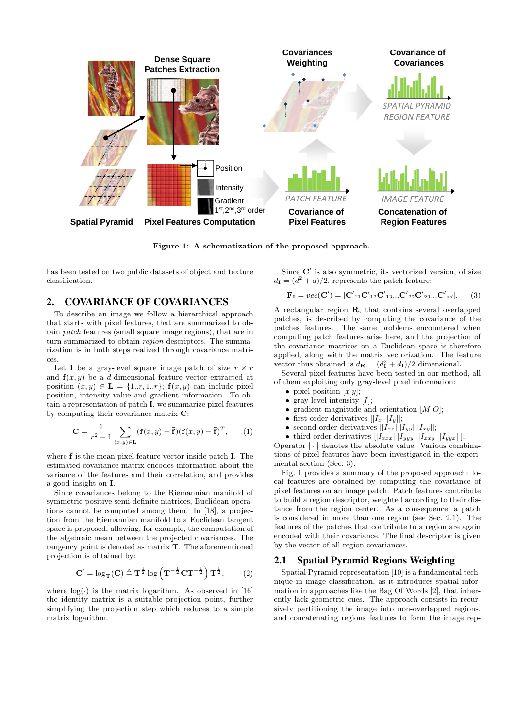

Figure 1: A schematization of the proposed approach.

has been tested on two public datasets of object and texture classification.

# 2. COVARIANCE OF COVARIANCES

To describe an image we follow a hierarchical approach that starts with pixel features, that are summarized to obtain patch features (small square image regions), that are in turn summarized to obtain *region* descriptors. The summarization is in both steps realized through covariance matrices.

Let **I** be a gray-level square image patch of size  $r \times r$ and  $f(x, y)$  be a d-dimensional feature vector extracted at position  $(x, y) \in \mathbf{L} = \{1..r, 1..r\}$ ;  $\mathbf{f}(x, y)$  can include pixel position, intensity value and gradient information. To obtain a representation of patch I, we summarize pixel features by computing their covariance matrix C:

$$
\mathbf{C} = \frac{1}{r^2 - 1} \sum_{(x,y) \in \mathbf{L}} (\mathbf{f}(x, y) - \overline{\mathbf{f}}) (\mathbf{f}(x, y) - \overline{\mathbf{f}})^T, \qquad (1)
$$

where  $\overline{f}$  is the mean pixel feature vector inside patch **I**. The estimated covariance matrix encodes information about the variance of the features and their correlation, and provides a good insight on I.

Since covariances belong to the Riemannian manifold of symmetric positive semi-definite matrices, Euclidean operations cannot be computed among them. In [18], a projection from the Riemannian manifold to a Euclidean tangent space is proposed, allowing, for example, the computation of the algebraic mean between the projected covariances. The tangency point is denoted as matrix  ${\bf T}.$  The aforementioned projection is obtained by:

$$
\mathbf{C}' = \log_{\mathbf{T}}(\mathbf{C}) \triangleq \mathbf{T}^{\frac{1}{2}} \log \left( \mathbf{T}^{-\frac{1}{2}} \mathbf{C} \mathbf{T}^{-\frac{1}{2}} \right) \mathbf{T}^{\frac{1}{2}},\qquad(2)
$$

where  $log(·)$  is the matrix logarithm. As observed in [16] the identity matrix is a suitable projection point, further simplifying the projection step which reduces to a simple matrix logarithm.

Since  $C'$  is also symmetric, its vectorized version, of size  $d_{I} = (d^{2} + d)/2$ , represents the patch feature:

$$
\mathbf{F}_{\mathbf{I}} = vec(\mathbf{C}') = [\mathbf{C'}_{11} \mathbf{C'}_{12} \mathbf{C'}_{13} ... \mathbf{C'}_{22} \mathbf{C'}_{23} ... \mathbf{C'}_{dd}].
$$
 (3)

A rectangular region R, that contains several overlapped patches, is described by computing the covariance of the patches features. The same problems encountered when computing patch features arise here, and the projection of the covariance matrices on a Euclidean space is therefore applied, along with the matrix vectorization. The feature vector thus obtained is  $d_{\mathbf{R}} = (d_{\mathbf{I}}^2 + d_{\mathbf{I}})/2$  dimensional.

Several pixel features have been tested in our method, all of them exploiting only gray-level pixel information:

- pixel position  $[x\ y]$ ;
- gray-level intensity  $[I]$ ;
- gradient magnitude and orientation  $[M O]$ ;
- first order derivatives  $[|I_x| |I_y|];$
- second order derivatives  $[|I_{xx}| |I_{yy}| |I_{xy}|]$ ;
- third order derivatives  $[|I_{xxx}| |I_{yyy}| |I_{xxy}| |I_{yyx}|].$

Operator  $|\cdot|$  denotes the absolute value. Various combinations of pixel features have been investigated in the experimental section (Sec. 3).

Fig. 1 provides a summary of the proposed approach: local features are obtained by computing the covariance of pixel features on an image patch. Patch features contribute to build a region descriptor, weighted according to their distance from the region center. As a consequence, a patch is considered in more than one region (see Sec. 2.1). The features of the patches that contribute to a region are again encoded with their covariance. The final descriptor is given by the vector of all region covariances.

#### 2.1 Spatial Pyramid Regions Weighting

Spatial Pyramid representation [10] is a fundamental technique in image classification, as it introduces spatial information in approaches like the Bag Of Words [2], that inherently lack geometric cues. The approach consists in recursively partitioning the image into non-overlapped regions, and concatenating regions features to form the image rep-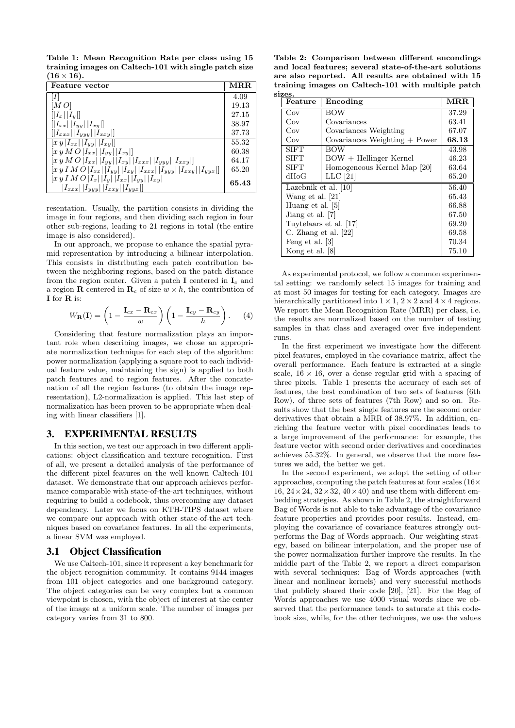Table 1: Mean Recognition Rate per class using 15 training images on Caltech-101 with single patch size  $(16 \times 16).$ 

| <b>Feature</b> vector                                                                                        | $\bf{MRR}$ |
|--------------------------------------------------------------------------------------------------------------|------------|
|                                                                                                              | 4.09       |
| [MO]                                                                                                         | 19.13      |
| $  I_x  I_y  $                                                                                               | 27.15      |
| $[ I_{xx}   I_{yy}   I_{xy} ]$                                                                               | 38.97      |
| $  I_{xxx}  I_{xyy}  I_{xxy}  $                                                                              | 37.73      |
| $\left[xy\right]I_{xx} \left[ I_{yy}\right] \left[ I_{xy}\right]$                                            | 55.32      |
| $[x y MO   I_{xx}     I_{yy}     I_{xy}  ]$                                                                  | 60.38      |
| $[x y MO   I_{xx}    I_{yy}    I_{xy}    I_{xxx}    I_{yyy}    I_{xxy} ]$                                    | 64.17      |
| $ xy \, I \, M \, O \,  I_{xx}  \,  I_{yy}  \,  I_{xy}  \,  I_{xxx}  \,  I_{yyy}  \,  I_{xxy}  \,  I_{yyx} $ | 65.20      |
| $[x y I M O  I_x  I_y  I_{xx}  I_{yy}  I_{xy}]$                                                              | 65.43      |
| $ I_{xxx} $ $ I_{yyy} $ $ I_{xxy} $ $ I_{yyx} $                                                              |            |

resentation. Usually, the partition consists in dividing the image in four regions, and then dividing each region in four other sub-regions, leading to 21 regions in total (the entire image is also considered).

In our approach, we propose to enhance the spatial pyramid representation by introducing a bilinear interpolation. This consists in distributing each patch contribution between the neighboring regions, based on the patch distance from the region center. Given a patch I centered in  $I_c$  and a region **R** centered in  $\mathbf{R}_c$  of size  $w \times h$ , the contribution of I for R is:

$$
W_{\mathbf{R}}(\mathbf{I}) = \left(1 - \frac{\mathbf{I}_{cx} - \mathbf{R}_{cx}}{w}\right) \left(1 - \frac{\mathbf{I}_{cy} - \mathbf{R}_{cy}}{h}\right). \tag{4}
$$

Considering that feature normalization plays an important role when describing images, we chose an appropriate normalization technique for each step of the algorithm: power normalization (applying a square root to each individual feature value, maintaining the sign) is applied to both patch features and to region features. After the concatenation of all the region features (to obtain the image representation), L2-normalization is applied. This last step of normalization has been proven to be appropriate when dealing with linear classifiers [1].

# 3. EXPERIMENTAL RESULTS

In this section, we test our approach in two different applications: object classification and texture recognition. First of all, we present a detailed analysis of the performance of the different pixel features on the well known Caltech-101 dataset. We demonstrate that our approach achieves performance comparable with state-of-the-art techniques, without requiring to build a codebook, thus overcoming any dataset dependency. Later we focus on KTH-TIPS dataset where we compare our approach with other state-of-the-art techniques based on covariance features. In all the experiments, a linear SVM was employed.

# 3.1 Object Classification

We use Caltech-101, since it represent a key benchmark for the object recognition community. It contains 9144 images from 101 object categories and one background category. The object categories can be very complex but a common viewpoint is chosen, with the object of interest at the center of the image at a uniform scale. The number of images per category varies from 31 to 800.

Table 2: Comparison between different encondings and local features; several state-of-the-art solutions are also reported. All results are obtained with 15 training images on Caltech-101 with multiple patch sizes.

| Feature                | Encoding                        | MRR   |
|------------------------|---------------------------------|-------|
| Cov                    | <b>BOW</b>                      | 37.29 |
| Cov                    | Covariances                     | 63.41 |
| Cov                    | Covariances Weighting           | 67.07 |
| Cov                    | Covariances Weighting $+$ Power | 68.13 |
| <b>SIFT</b>            | <b>BOW</b>                      | 43.98 |
| <b>SIFT</b>            | $BOW + Hellinger$ Kernel        | 46.23 |
| <b>SIFT</b>            | Homogeneous Kernel Map [20]     | 63.64 |
| dHoG                   | $LLC$ [21]                      | 65.20 |
| Lazebnik et al. $[10]$ |                                 | 56.40 |
| Wang et al. [21]       |                                 | 65.43 |
| Huang et al. [5]       |                                 | 66.88 |
| Jiang et al. [7]       |                                 | 67.50 |
| Tuytelaars et al. [17] |                                 | 69.20 |
| C. Zhang et al. $[22]$ |                                 | 69.58 |
| Feng et al. [3]        |                                 | 70.34 |
| Kong et al. [8]        |                                 | 75.10 |

As experimental protocol, we follow a common experimental setting: we randomly select 15 images for training and at most 50 images for testing for each category. Images are hierarchically partitioned into  $1 \times 1$ ,  $2 \times 2$  and  $4 \times 4$  regions. We report the Mean Recognition Rate (MRR) per class, i.e. the results are normalized based on the number of testing samples in that class and averaged over five independent runs.

In the first experiment we investigate how the different pixel features, employed in the covariance matrix, affect the overall performance. Each feature is extracted at a single scale,  $16 \times 16$ , over a dense regular grid with a spacing of three pixels. Table 1 presents the accuracy of each set of features, the best combination of two sets of features (6th Row), of three sets of features (7th Row) and so on. Results show that the best single features are the second order derivatives that obtain a MRR of 38.97%. In addition, enriching the feature vector with pixel coordinates leads to a large improvement of the performance: for example, the feature vector with second order derivatives and coordinates achieves 55.32%. In general, we observe that the more features we add, the better we get.

In the second experiment, we adopt the setting of other approaches, computing the patch features at four scales (16× 16,  $24 \times 24$ ,  $32 \times 32$ ,  $40 \times 40$ ) and use them with different embedding strategies. As shown in Table 2, the straightforward Bag of Words is not able to take advantage of the covariance feature properties and provides poor results. Instead, employing the covariance of covariance features strongly outperforms the Bag of Words approach. Our weighting strategy, based on bilinear interpolation, and the proper use of the power normalization further improve the results. In the middle part of the Table 2, we report a direct comparison with several techniques: Bag of Words approaches (with linear and nonlinear kernels) and very successful methods that publicly shared their code [20], [21]. For the Bag of Words approaches we use 4000 visual words since we observed that the performance tends to saturate at this codebook size, while, for the other techniques, we use the values